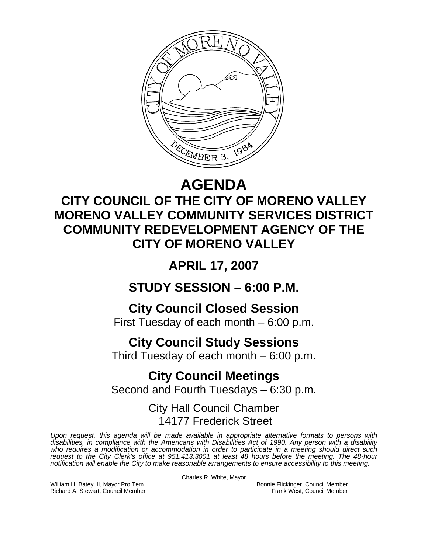

# **AGENDA**

## **CITY COUNCIL OF THE CITY OF MORENO VALLEY MORENO VALLEY COMMUNITY SERVICES DISTRICT COMMUNITY REDEVELOPMENT AGENCY OF THE CITY OF MORENO VALLEY**

**APRIL 17, 2007** 

**STUDY SESSION – 6:00 P.M.** 

**City Council Closed Session**  First Tuesday of each month – 6:00 p.m.

## **City Council Study Sessions**

Third Tuesday of each month – 6:00 p.m.

### **City Council Meetings**  Second and Fourth Tuesdays – 6:30 p.m.

City Hall Council Chamber 14177 Frederick Street

*Upon request, this agenda will be made available in appropriate alternative formats to persons with disabilities, in compliance with the Americans with Disabilities Act of 1990. Any person with a disability*  who requires a modification or accommodation in order to participate in a meeting should direct such *request to the City Clerk's office at 951.413.3001 at least 48 hours before the meeting. The 48-hour notification will enable the City to make reasonable arrangements to ensure accessibility to this meeting.* 

Charles R. White, Mayor

William H. Batey, II, Mayor Pro Tem Bonnie Flickinger, Council Member<br>Richard A. Stewart, Council Member **Bonnie Flickinger, Council Member** Frank West, Council Member Richard A. Stewart, Council Member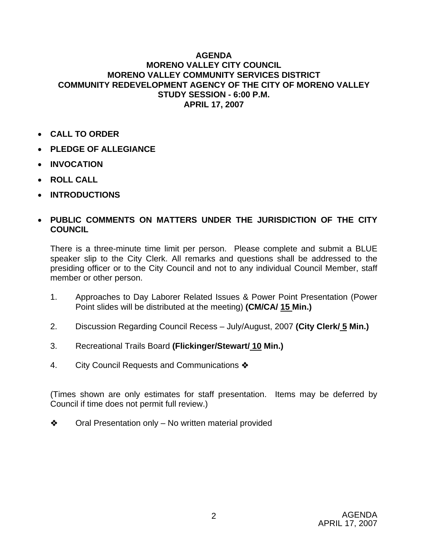#### **AGENDA MORENO VALLEY CITY COUNCIL MORENO VALLEY COMMUNITY SERVICES DISTRICT COMMUNITY REDEVELOPMENT AGENCY OF THE CITY OF MORENO VALLEY STUDY SESSION - 6:00 P.M. APRIL 17, 2007**

- **CALL TO ORDER**
- **PLEDGE OF ALLEGIANCE**
- **INVOCATION**
- **ROLL CALL**
- **INTRODUCTIONS**

### • **PUBLIC COMMENTS ON MATTERS UNDER THE JURISDICTION OF THE CITY COUNCIL**

There is a three-minute time limit per person. Please complete and submit a BLUE speaker slip to the City Clerk. All remarks and questions shall be addressed to the presiding officer or to the City Council and not to any individual Council Member, staff member or other person.

- 1. Approaches to Day Laborer Related Issues & Power Point Presentation (Power Point slides will be distributed at the meeting) **(CM/CA/ 15 Min.)**
- 2. Discussion Regarding Council Recess July/August, 2007 **(City Clerk/ 5 Min.)**
- 3. Recreational Trails Board **(Flickinger/Stewart/ 10 Min.)**
- 4. City Council Requests and Communications  $\clubsuit$

(Times shown are only estimates for staff presentation. Items may be deferred by Council if time does not permit full review.)

 $\diamond$  Oral Presentation only – No written material provided